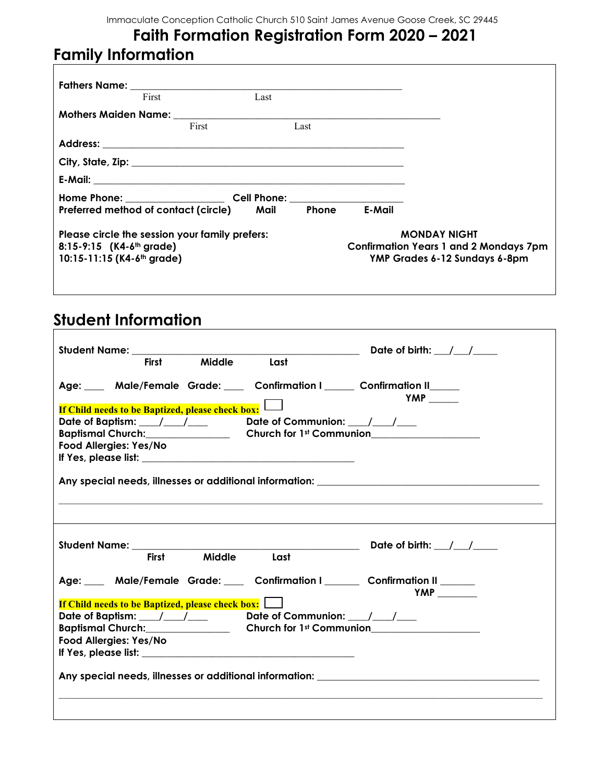## **Faith Formation Registration Form 2020 – 2021 Family Information**

|                                                                                  | <b>Fathers Name:</b> The Contract of the Contract of the Contract of the Contract of the Contract of the Contract of the Contract of the Contract of the Contract of the Contract of the Contract of the Contract of the Contract o<br>First | Last |              |        |                                                                                                       |
|----------------------------------------------------------------------------------|----------------------------------------------------------------------------------------------------------------------------------------------------------------------------------------------------------------------------------------------|------|--------------|--------|-------------------------------------------------------------------------------------------------------|
|                                                                                  |                                                                                                                                                                                                                                              |      |              |        |                                                                                                       |
|                                                                                  | First                                                                                                                                                                                                                                        |      | Last         |        |                                                                                                       |
|                                                                                  |                                                                                                                                                                                                                                              |      |              |        |                                                                                                       |
|                                                                                  |                                                                                                                                                                                                                                              |      |              |        |                                                                                                       |
|                                                                                  |                                                                                                                                                                                                                                              |      |              |        |                                                                                                       |
|                                                                                  | <b>Home Phone: Example 2018 Cell Phone:</b> Cell Phone:                                                                                                                                                                                      |      |              |        |                                                                                                       |
|                                                                                  | Preferred method of contact (circle)                                                                                                                                                                                                         | Mail | <b>Phone</b> | E-Mail |                                                                                                       |
| $8:15-9:15$ (K4-6 <sup>th</sup> grade)<br>10:15-11:15 (K4-6 <sup>th</sup> grade) | Please circle the session your family prefers:                                                                                                                                                                                               |      |              |        | <b>MONDAY NIGHT</b><br><b>Confirmation Years 1 and 2 Mondays 7pm</b><br>YMP Grades 6-12 Sundays 6-8pm |

## **Student Information**

| Student Name: The Contract of the Contract of the Contract of the Contract of the Contract of the Contract of the Contract of the Contract of the Contract of the Contract of the Contract of the Contract of the Contract of |                                                                                            |
|-------------------------------------------------------------------------------------------------------------------------------------------------------------------------------------------------------------------------------|--------------------------------------------------------------------------------------------|
| <b>Middle</b><br><b>First</b>                                                                                                                                                                                                 | Last                                                                                       |
| Age: ___ Male/Female Grade: ___ Confirmation I ____ Confirmation II ____                                                                                                                                                      | YMP $\_\_\_\_\$                                                                            |
| <b>If Child needs to be Baptized, please check box:</b>                                                                                                                                                                       |                                                                                            |
| Date of Baptism: ___/___/____ Date of Communion: ___/___/___                                                                                                                                                                  |                                                                                            |
|                                                                                                                                                                                                                               | Baptismal Church: Church Church for 1st Communion                                          |
| Food Allergies: Yes/No                                                                                                                                                                                                        |                                                                                            |
|                                                                                                                                                                                                                               |                                                                                            |
|                                                                                                                                                                                                                               |                                                                                            |
|                                                                                                                                                                                                                               |                                                                                            |
|                                                                                                                                                                                                                               |                                                                                            |
|                                                                                                                                                                                                                               |                                                                                            |
|                                                                                                                                                                                                                               |                                                                                            |
|                                                                                                                                                                                                                               |                                                                                            |
| Student Name: ___________                                                                                                                                                                                                     | Date of birth: $\angle$ / $\angle$                                                         |
| Middle Last<br><b>First</b>                                                                                                                                                                                                   |                                                                                            |
|                                                                                                                                                                                                                               |                                                                                            |
|                                                                                                                                                                                                                               | Age: ___ Male/Female Grade: ___ Confirmation I _____ Confirmation II _____<br>YMP $\qquad$ |
| <b>If Child needs to be Baptized, please check box:</b>                                                                                                                                                                       |                                                                                            |
| Date of Baptism: ____/____/_____ Date of Communion: ____/___/___                                                                                                                                                              |                                                                                            |
|                                                                                                                                                                                                                               | Baptismal Church: Church Church for 1st Communion                                          |
| Food Allergies: Yes/No                                                                                                                                                                                                        |                                                                                            |
|                                                                                                                                                                                                                               |                                                                                            |
|                                                                                                                                                                                                                               |                                                                                            |
|                                                                                                                                                                                                                               | Any special needs, illnesses or additional information: _________________________          |
|                                                                                                                                                                                                                               |                                                                                            |